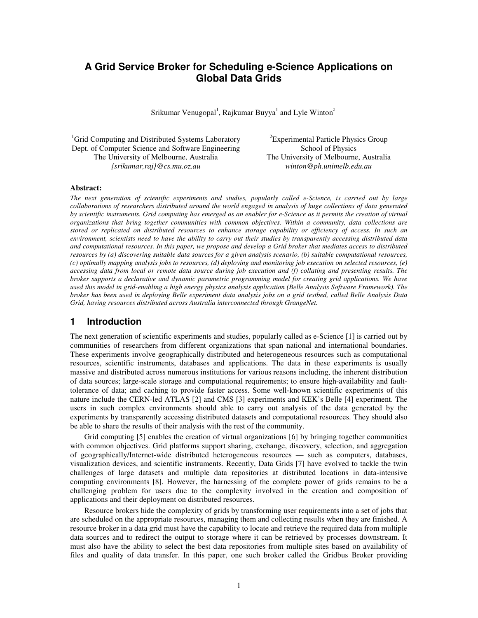# A Grid Service Broker for Scheduling e-Science Applications on Global Data Grids

Srikumar Venugopal<sup>1</sup>, Rajkumar Buyya<sup>1</sup> and Lyle Winton<sup>2</sup>

<sup>1</sup>Grid Computing and Distributed Systems Laboratory Dept. of Computer Science and Software Engineering The University of Melbourne, Australia {srikumar,raj}@cs.mu.oz.au

<sup>2</sup>Experimental Particle Physics Group School of Physics The University of Melbourne, Australia winton@ph.unimelb.edu.au

#### Abstract:

The next generation of scientific experiments and studies, popularly called e-Science, is carried out by large collaborations of researchers distributed around the world engaged in analysis of huge collections of data generated by scientific instruments. Grid computing has emerged as an enabler for e-Science as it permits the creation of virtual organizations that bring together communities with common objectives. Within a community, data collections are stored or replicated on distributed resources to enhance storage capability or efficiency of access. In such an environment, scientists need to have the ability to carry out their studies by transparently accessing distributed data and computational resources. In this paper, we propose and develop a Grid broker that mediates access to distributed resources by (a) discovering suitable data sources for a given analysis scenario, (b) suitable computational resources, (c) optimally mapping analysis jobs to resources, (d) deploying and monitoring job execution on selected resources, (e) accessing data from local or remote data source during job execution and (f) collating and presenting results. The broker supports a declarative and dynamic parametric programming model for creating grid applications. We have used this model in grid-enabling a high energy physics analysis application (Belle Analysis Software Framework). The broker has been used in deploying Belle experiment data analysis jobs on a grid testbed, called Belle Analysis Data Grid, having resources distributed across Australia interconnected through GrangeNet.

## 1 Introduction

The next generation of scientific experiments and studies, popularly called as e-Science [1] is carried out by communities of researchers from different organizations that span national and international boundaries. These experiments involve geographically distributed and heterogeneous resources such as computational resources, scientific instruments, databases and applications. The data in these experiments is usually massive and distributed across numerous institutions for various reasons including, the inherent distribution of data sources; large-scale storage and computational requirements; to ensure high-availability and faulttolerance of data; and caching to provide faster access. Some well-known scientific experiments of this nature include the CERN-led ATLAS [2] and CMS [3] experiments and KEK's Belle [4] experiment. The users in such complex environments should able to carry out analysis of the data generated by the experiments by transparently accessing distributed datasets and computational resources. They should also be able to share the results of their analysis with the rest of the community.

Grid computing [5] enables the creation of virtual organizations [6] by bringing together communities with common objectives. Grid platforms support sharing, exchange, discovery, selection, and aggregation of geographically/Internet-wide distributed heterogeneous resources — such as computers, databases, visualization devices, and scientific instruments. Recently, Data Grids [7] have evolved to tackle the twin challenges of large datasets and multiple data repositories at distributed locations in data-intensive computing environments [8]. However, the harnessing of the complete power of grids remains to be a challenging problem for users due to the complexity involved in the creation and composition of applications and their deployment on distributed resources.

Resource brokers hide the complexity of grids by transforming user requirements into a set of jobs that are scheduled on the appropriate resources, managing them and collecting results when they are finished. A resource broker in a data grid must have the capability to locate and retrieve the required data from multiple data sources and to redirect the output to storage where it can be retrieved by processes downstream. It must also have the ability to select the best data repositories from multiple sites based on availability of files and quality of data transfer. In this paper, one such broker called the Gridbus Broker providing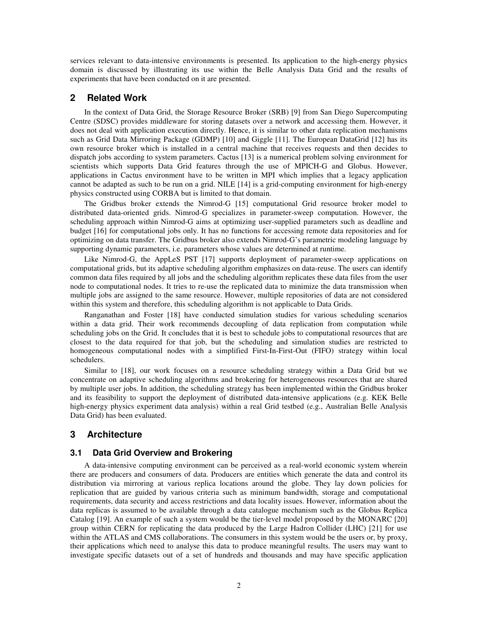services relevant to data-intensive environments is presented. Its application to the high-energy physics domain is discussed by illustrating its use within the Belle Analysis Data Grid and the results of experiments that have been conducted on it are presented.

## 2 Related Work

In the context of Data Grid, the Storage Resource Broker (SRB) [9] from San Diego Supercomputing Centre (SDSC) provides middleware for storing datasets over a network and accessing them. However, it does not deal with application execution directly. Hence, it is similar to other data replication mechanisms such as Grid Data Mirroring Package (GDMP) [10] and Giggle [11]. The European DataGrid [12] has its own resource broker which is installed in a central machine that receives requests and then decides to dispatch jobs according to system parameters. Cactus [13] is a numerical problem solving environment for scientists which supports Data Grid features through the use of MPICH-G and Globus. However, applications in Cactus environment have to be written in MPI which implies that a legacy application cannot be adapted as such to be run on a grid. NILE [14] is a grid-computing environment for high-energy physics constructed using CORBA but is limited to that domain.

The Gridbus broker extends the Nimrod-G [15] computational Grid resource broker model to distributed data-oriented grids. Nimrod-G specializes in parameter-sweep computation. However, the scheduling approach within Nimrod-G aims at optimizing user-supplied parameters such as deadline and budget [16] for computational jobs only. It has no functions for accessing remote data repositories and for optimizing on data transfer. The Gridbus broker also extends Nimrod-G's parametric modeling language by supporting dynamic parameters, i.e. parameters whose values are determined at runtime.

Like Nimrod-G, the AppLeS PST [17] supports deployment of parameter-sweep applications on computational grids, but its adaptive scheduling algorithm emphasizes on data-reuse. The users can identify common data files required by all jobs and the scheduling algorithm replicates these data files from the user node to computational nodes. It tries to re-use the replicated data to minimize the data transmission when multiple jobs are assigned to the same resource. However, multiple repositories of data are not considered within this system and therefore, this scheduling algorithm is not applicable to Data Grids.

Ranganathan and Foster [18] have conducted simulation studies for various scheduling scenarios within a data grid. Their work recommends decoupling of data replication from computation while scheduling jobs on the Grid. It concludes that it is best to schedule jobs to computational resources that are closest to the data required for that job, but the scheduling and simulation studies are restricted to homogeneous computational nodes with a simplified First-In-First-Out (FIFO) strategy within local schedulers.

Similar to [18], our work focuses on a resource scheduling strategy within a Data Grid but we concentrate on adaptive scheduling algorithms and brokering for heterogeneous resources that are shared by multiple user jobs. In addition, the scheduling strategy has been implemented within the Gridbus broker and its feasibility to support the deployment of distributed data-intensive applications (e.g. KEK Belle high-energy physics experiment data analysis) within a real Grid testbed (e.g., Australian Belle Analysis Data Grid) has been evaluated.

## 3 Architecture

## 3.1 Data Grid Overview and Brokering

A data-intensive computing environment can be perceived as a real-world economic system wherein there are producers and consumers of data. Producers are entities which generate the data and control its distribution via mirroring at various replica locations around the globe. They lay down policies for replication that are guided by various criteria such as minimum bandwidth, storage and computational requirements, data security and access restrictions and data locality issues. However, information about the data replicas is assumed to be available through a data catalogue mechanism such as the Globus Replica Catalog [19]. An example of such a system would be the tier-level model proposed by the MONARC [20] group within CERN for replicating the data produced by the Large Hadron Collider (LHC) [21] for use within the ATLAS and CMS collaborations. The consumers in this system would be the users or, by proxy, their applications which need to analyse this data to produce meaningful results. The users may want to investigate specific datasets out of a set of hundreds and thousands and may have specific application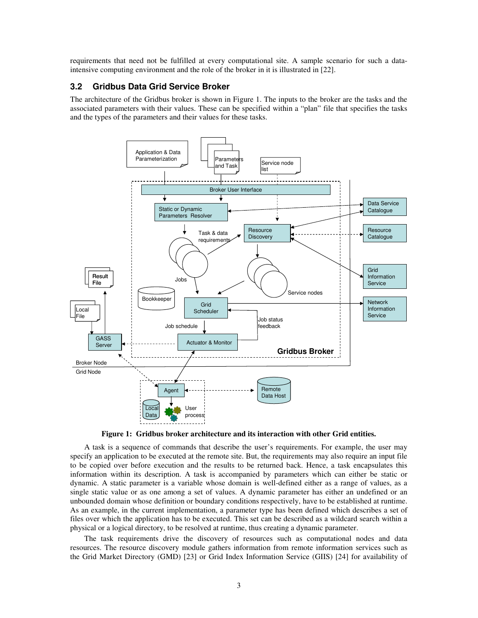requirements that need not be fulfilled at every computational site. A sample scenario for such a dataintensive computing environment and the role of the broker in it is illustrated in [22].

## 3.2 Gridbus Data Grid Service Broker

The architecture of the Gridbus broker is shown in Figure 1. The inputs to the broker are the tasks and the associated parameters with their values. These can be specified within a "plan" file that specifies the tasks and the types of the parameters and their values for these tasks.



Figure 1: Gridbus broker architecture and its interaction with other Grid entities.

A task is a sequence of commands that describe the user's requirements. For example, the user may specify an application to be executed at the remote site. But, the requirements may also require an input file to be copied over before execution and the results to be returned back. Hence, a task encapsulates this information within its description. A task is accompanied by parameters which can either be static or dynamic. A static parameter is a variable whose domain is well-defined either as a range of values, as a single static value or as one among a set of values. A dynamic parameter has either an undefined or an unbounded domain whose definition or boundary conditions respectively, have to be established at runtime. As an example, in the current implementation, a parameter type has been defined which describes a set of files over which the application has to be executed. This set can be described as a wildcard search within a physical or a logical directory, to be resolved at runtime, thus creating a dynamic parameter.

The task requirements drive the discovery of resources such as computational nodes and data resources. The resource discovery module gathers information from remote information services such as the Grid Market Directory (GMD) [23] or Grid Index Information Service (GIIS) [24] for availability of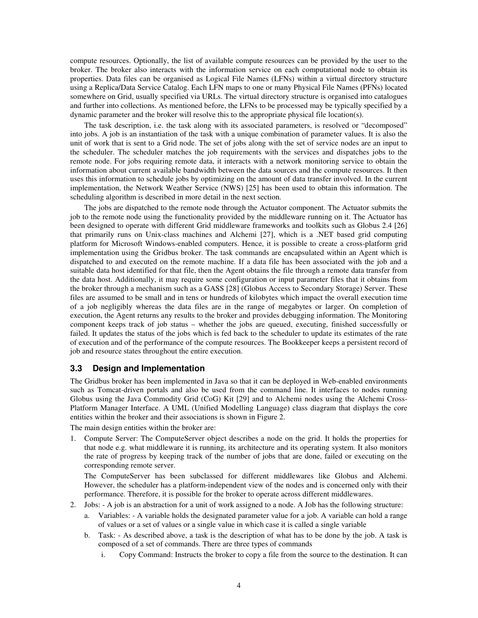compute resources. Optionally, the list of available compute resources can be provided by the user to the broker. The broker also interacts with the information service on each computational node to obtain its properties. Data files can be organised as Logical File Names (LFNs) within a virtual directory structure using a Replica/Data Service Catalog. Each LFN maps to one or many Physical File Names (PFNs) located somewhere on Grid, usually specified via URLs. The virtual directory structure is organised into catalogues and further into collections. As mentioned before, the LFNs to be processed may be typically specified by a dynamic parameter and the broker will resolve this to the appropriate physical file location(s).

The task description, i.e. the task along with its associated parameters, is resolved or "decomposed" into jobs. A job is an instantiation of the task with a unique combination of parameter values. It is also the unit of work that is sent to a Grid node. The set of jobs along with the set of service nodes are an input to the scheduler. The scheduler matches the job requirements with the services and dispatches jobs to the remote node. For jobs requiring remote data, it interacts with a network monitoring service to obtain the information about current available bandwidth between the data sources and the compute resources. It then uses this information to schedule jobs by optimizing on the amount of data transfer involved. In the current implementation, the Network Weather Service (NWS) [25] has been used to obtain this information. The scheduling algorithm is described in more detail in the next section.

The jobs are dispatched to the remote node through the Actuator component. The Actuator submits the job to the remote node using the functionality provided by the middleware running on it. The Actuator has been designed to operate with different Grid middleware frameworks and toolkits such as Globus 2.4 [26] that primarily runs on Unix-class machines and Alchemi [27], which is a .NET based grid computing platform for Microsoft Windows-enabled computers. Hence, it is possible to create a cross-platform grid implementation using the Gridbus broker. The task commands are encapsulated within an Agent which is dispatched to and executed on the remote machine. If a data file has been associated with the job and a suitable data host identified for that file, then the Agent obtains the file through a remote data transfer from the data host. Additionally, it may require some configuration or input parameter files that it obtains from the broker through a mechanism such as a GASS [28] (Globus Access to Secondary Storage) Server. These files are assumed to be small and in tens or hundreds of kilobytes which impact the overall execution time of a job negligibly whereas the data files are in the range of megabytes or larger. On completion of execution, the Agent returns any results to the broker and provides debugging information. The Monitoring component keeps track of job status – whether the jobs are queued, executing, finished successfully or failed. It updates the status of the jobs which is fed back to the scheduler to update its estimates of the rate of execution and of the performance of the compute resources. The Bookkeeper keeps a persistent record of job and resource states throughout the entire execution.

### 3.3 Design and Implementation

The Gridbus broker has been implemented in Java so that it can be deployed in Web-enabled environments such as Tomcat-driven portals and also be used from the command line. It interfaces to nodes running Globus using the Java Commodity Grid (CoG) Kit [29] and to Alchemi nodes using the Alchemi Cross-Platform Manager Interface. A UML (Unified Modelling Language) class diagram that displays the core entities within the broker and their associations is shown in Figure 2.

The main design entities within the broker are:

1. Compute Server: The ComputeServer object describes a node on the grid. It holds the properties for that node e.g. what middleware it is running, its architecture and its operating system. It also monitors the rate of progress by keeping track of the number of jobs that are done, failed or executing on the corresponding remote server.

The ComputeServer has been subclassed for different middlewares like Globus and Alchemi. However, the scheduler has a platform-independent view of the nodes and is concerned only with their performance. Therefore, it is possible for the broker to operate across different middlewares.

- 2. Jobs: A job is an abstraction for a unit of work assigned to a node. A Job has the following structure:
	- a. Variables: A variable holds the designated parameter value for a job. A variable can hold a range of values or a set of values or a single value in which case it is called a single variable
	- b. Task: As described above, a task is the description of what has to be done by the job. A task is composed of a set of commands. There are three types of commands
		- i. Copy Command: Instructs the broker to copy a file from the source to the destination. It can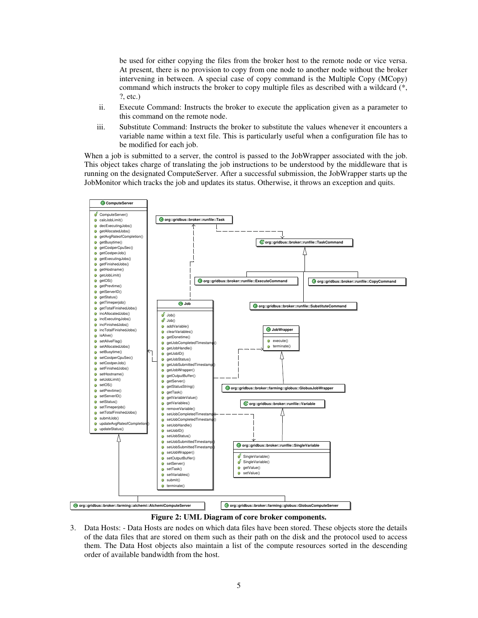be used for either copying the files from the broker host to the remote node or vice versa. At present, there is no provision to copy from one node to another node without the broker intervening in between. A special case of copy command is the Multiple Copy (MCopy) command which instructs the broker to copy multiple files as described with a wildcard (\*, ?, etc.)

- ii. Execute Command: Instructs the broker to execute the application given as a parameter to this command on the remote node.
- iii. Substitute Command: Instructs the broker to substitute the values whenever it encounters a variable name within a text file. This is particularly useful when a configuration file has to be modified for each job.

When a job is submitted to a server, the control is passed to the JobWrapper associated with the job. This object takes charge of translating the job instructions to be understood by the middleware that is running on the designated ComputeServer. After a successful submission, the JobWrapper starts up the JobMonitor which tracks the job and updates its status. Otherwise, it throws an exception and quits.



Figure 2: UML Diagram of core broker components.

3. Data Hosts: - Data Hosts are nodes on which data files have been stored. These objects store the details of the data files that are stored on them such as their path on the disk and the protocol used to access them. The Data Host objects also maintain a list of the compute resources sorted in the descending order of available bandwidth from the host.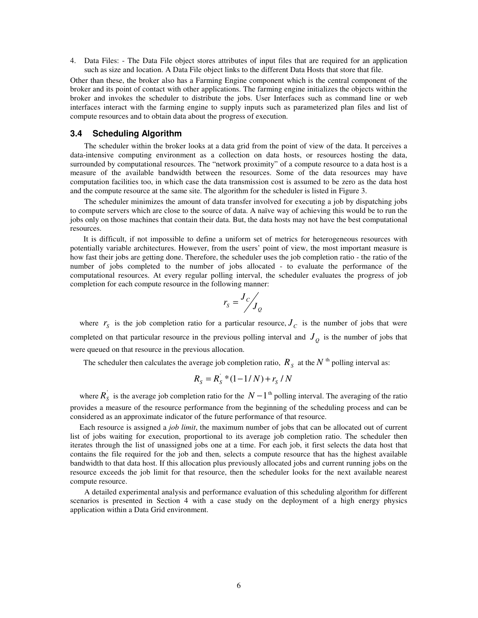4. Data Files: - The Data File object stores attributes of input files that are required for an application such as size and location. A Data File object links to the different Data Hosts that store that file.

Other than these, the broker also has a Farming Engine component which is the central component of the broker and its point of contact with other applications. The farming engine initializes the objects within the broker and invokes the scheduler to distribute the jobs. User Interfaces such as command line or web interfaces interact with the farming engine to supply inputs such as parameterized plan files and list of compute resources and to obtain data about the progress of execution.

### 3.4 Scheduling Algorithm

The scheduler within the broker looks at a data grid from the point of view of the data. It perceives a data-intensive computing environment as a collection on data hosts, or resources hosting the data, surrounded by computational resources. The "network proximity" of a compute resource to a data host is a measure of the available bandwidth between the resources. Some of the data resources may have computation facilities too, in which case the data transmission cost is assumed to be zero as the data host and the compute resource at the same site. The algorithm for the scheduler is listed in Figure 3.

The scheduler minimizes the amount of data transfer involved for executing a job by dispatching jobs to compute servers which are close to the source of data. A naïve way of achieving this would be to run the jobs only on those machines that contain their data. But, the data hosts may not have the best computational resources.

 It is difficult, if not impossible to define a uniform set of metrics for heterogeneous resources with potentially variable architectures. However, from the users' point of view, the most important measure is how fast their jobs are getting done. Therefore, the scheduler uses the job completion ratio - the ratio of the number of jobs completed to the number of jobs allocated - to evaluate the performance of the computational resources. At every regular polling interval, the scheduler evaluates the progress of job completion for each compute resource in the following manner:

$$
r_{\rm s} = \frac{J_c}{J_Q}
$$

where  $r_s$  is the job completion ratio for a particular resource,  $J_c$  is the number of jobs that were completed on that particular resource in the previous polling interval and  $J_{\varrho}$  is the number of jobs that were queued on that resource in the previous allocation.

The scheduler then calculates the average job completion ratio,  $R<sub>S</sub>$  at the N<sup>th</sup> polling interval as:

$$
R_{S} = R_{S}^{'} * (1 - 1/N) + r_{S} / N
$$

where  $R_S^{\dagger}$  is the average job completion ratio for the  $N-1^{\text{th}}$  polling interval. The averaging of the ratio provides a measure of the resource performance from the beginning of the scheduling process and can be considered as an approximate indicator of the future performance of that resource.

Each resource is assigned a job limit, the maximum number of jobs that can be allocated out of current list of jobs waiting for execution, proportional to its average job completion ratio. The scheduler then iterates through the list of unassigned jobs one at a time. For each job, it first selects the data host that contains the file required for the job and then, selects a compute resource that has the highest available bandwidth to that data host. If this allocation plus previously allocated jobs and current running jobs on the resource exceeds the job limit for that resource, then the scheduler looks for the next available nearest compute resource.

A detailed experimental analysis and performance evaluation of this scheduling algorithm for different scenarios is presented in Section 4 with a case study on the deployment of a high energy physics application within a Data Grid environment.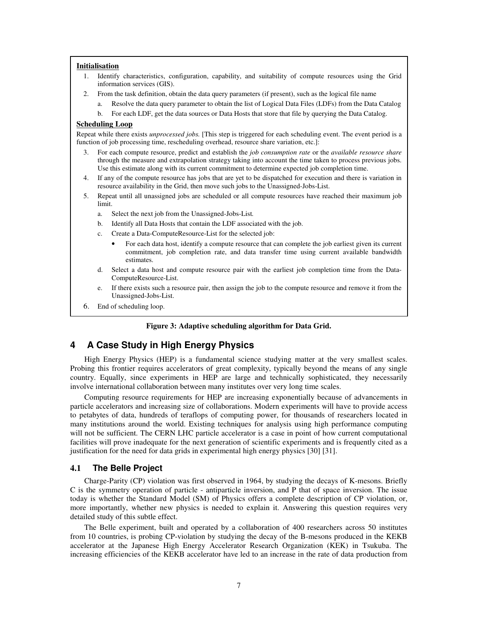#### Initialisation

- 1. Identify characteristics, configuration, capability, and suitability of compute resources using the Grid information services (GIS).
- 2. From the task definition, obtain the data query parameters (if present), such as the logical file name
	- a. Resolve the data query parameter to obtain the list of Logical Data Files (LDFs) from the Data Catalog
	- b. For each LDF, get the data sources or Data Hosts that store that file by querying the Data Catalog.

#### Scheduling Loop

Repeat while there exists *unprocessed jobs*. [This step is triggered for each scheduling event. The event period is a function of job processing time, rescheduling overhead, resource share variation, etc.]:

- 3. For each compute resource, predict and establish the *job consumption rate* or the *available resource share* through the measure and extrapolation strategy taking into account the time taken to process previous jobs. Use this estimate along with its current commitment to determine expected job completion time.
- 4. If any of the compute resource has jobs that are yet to be dispatched for execution and there is variation in resource availability in the Grid, then move such jobs to the Unassigned-Jobs-List.
- 5. Repeat until all unassigned jobs are scheduled or all compute resources have reached their maximum job limit.
	- a. Select the next job from the Unassigned-Jobs-List.
	- b. Identify all Data Hosts that contain the LDF associated with the job.
	- c. Create a Data-ComputeResource-List for the selected job:
		- For each data host, identify a compute resource that can complete the job earliest given its current commitment, job completion rate, and data transfer time using current available bandwidth estimates.
	- d. Select a data host and compute resource pair with the earliest job completion time from the Data-ComputeResource-List.
	- e. If there exists such a resource pair, then assign the job to the compute resource and remove it from the Unassigned-Jobs-List.
- 6. End of scheduling loop.

### Figure 3: Adaptive scheduling algorithm for Data Grid.

## 4 A Case Study in High Energy Physics

High Energy Physics (HEP) is a fundamental science studying matter at the very smallest scales. Probing this frontier requires accelerators of great complexity, typically beyond the means of any single country. Equally, since experiments in HEP are large and technically sophisticated, they necessarily involve international collaboration between many institutes over very long time scales.

Computing resource requirements for HEP are increasing exponentially because of advancements in particle accelerators and increasing size of collaborations. Modern experiments will have to provide access to petabytes of data, hundreds of teraflops of computing power, for thousands of researchers located in many institutions around the world. Existing techniques for analysis using high performance computing will not be sufficient. The CERN LHC particle accelerator is a case in point of how current computational facilities will prove inadequate for the next generation of scientific experiments and is frequently cited as a justification for the need for data grids in experimental high energy physics [30] [31].

### 4.1 The Belle Project

Charge-Parity (CP) violation was first observed in 1964, by studying the decays of K-mesons. Briefly C is the symmetry operation of particle - antiparticle inversion, and P that of space inversion. The issue today is whether the Standard Model (SM) of Physics offers a complete description of CP violation, or, more importantly, whether new physics is needed to explain it. Answering this question requires very detailed study of this subtle effect.

The Belle experiment, built and operated by a collaboration of 400 researchers across 50 institutes from 10 countries, is probing CP-violation by studying the decay of the B-mesons produced in the KEKB accelerator at the Japanese High Energy Accelerator Research Organization (KEK) in Tsukuba. The increasing efficiencies of the KEKB accelerator have led to an increase in the rate of data production from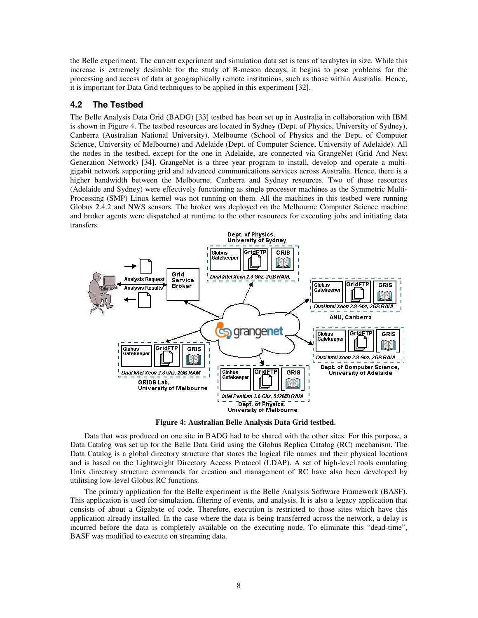the Belle experiment. The current experiment and simulation data set is tens of terabytes in size. While this increase is extremely desirable for the study of B-meson decays, it begins to pose problems for the processing and access of data at geographically remote institutions, such as those within Australia. Hence, it is important for Data Grid techniques to be applied in this experiment [32].

## 4.2 The Testbed

The Belle Analysis Data Grid (BADG) [33] testbed has been set up in Australia in collaboration with IBM is shown in Figure 4. The testbed resources are located in Sydney (Dept. of Physics, University of Sydney), Canberra (Australian National University), Melbourne (School of Physics and the Dept. of Computer Science, University of Melbourne) and Adelaide (Dept. of Computer Science, University of Adelaide). All the nodes in the testbed, except for the one in Adelaide, are connected via GrangeNet (Grid And Next Generation Network) [34]. GrangeNet is a three year program to install, develop and operate a multigigabit network supporting grid and advanced communications services across Australia. Hence, there is a higher bandwidth between the Melbourne, Canberra and Sydney resources. Two of these resources (Adelaide and Sydney) were effectively functioning as single processor machines as the Symmetric Multi-Processing (SMP) Linux kernel was not running on them. All the machines in this testbed were running Globus 2.4.2 and NWS sensors. The broker was deployed on the Melbourne Computer Science machine and broker agents were dispatched at runtime to the other resources for executing jobs and initiating data transfers.



Figure 4: Australian Belle Analysis Data Grid testbed.

Data that was produced on one site in BADG had to be shared with the other sites. For this purpose, a Data Catalog was set up for the Belle Data Grid using the Globus Replica Catalog (RC) mechanism. The Data Catalog is a global directory structure that stores the logical file names and their physical locations and is based on the Lightweight Directory Access Protocol (LDAP). A set of high-level tools emulating Unix directory structure commands for creation and management of RC have also been developed by utilitsing low-level Globus RC functions.

The primary application for the Belle experiment is the Belle Analysis Software Framework (BASF). This application is used for simulation, filtering of events, and analysis. It is also a legacy application that consists of about a Gigabyte of code. Therefore, execution is restricted to those sites which have this application already installed. In the case where the data is being transferred across the network, a delay is incurred before the data is completely available on the executing node. To eliminate this "dead-time", BASF was modified to execute on streaming data.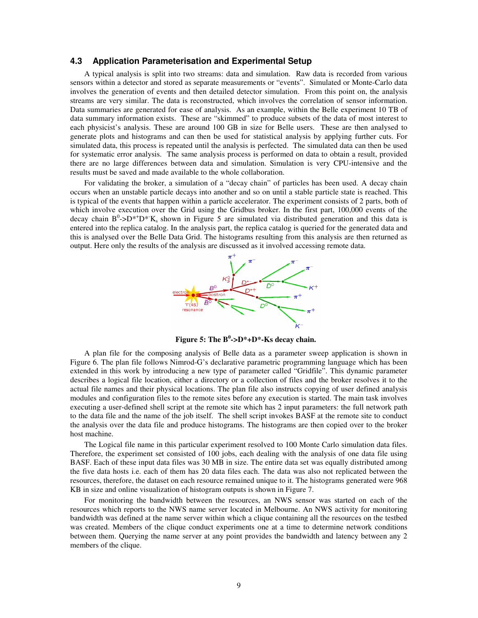### 4.3 Application Parameterisation and Experimental Setup

A typical analysis is split into two streams: data and simulation. Raw data is recorded from various sensors within a detector and stored as separate measurements or "events". Simulated or Monte-Carlo data involves the generation of events and then detailed detector simulation. From this point on, the analysis streams are very similar. The data is reconstructed, which involves the correlation of sensor information. Data summaries are generated for ease of analysis. As an example, within the Belle experiment 10 TB of data summary information exists. These are "skimmed" to produce subsets of the data of most interest to each physicist's analysis. These are around 100 GB in size for Belle users. These are then analysed to generate plots and histograms and can then be used for statistical analysis by applying further cuts. For simulated data, this process is repeated until the analysis is perfected. The simulated data can then be used for systematic error analysis. The same analysis process is performed on data to obtain a result, provided there are no large differences between data and simulation. Simulation is very CPU-intensive and the results must be saved and made available to the whole collaboration.

For validating the broker, a simulation of a "decay chain" of particles has been used. A decay chain occurs when an unstable particle decays into another and so on until a stable particle state is reached. This is typical of the events that happen within a particle accelerator. The experiment consists of 2 parts, both of which involve execution over the Grid using the Gridbus broker. In the first part, 100,000 events of the decay chain  $B^0$ ->D<sup>\*+</sup>D<sup>\*</sup>K<sub>s</sub> shown in Figure 5 are simulated via distributed generation and this data is entered into the replica catalog. In the analysis part, the replica catalog is queried for the generated data and this is analysed over the Belle Data Grid. The histograms resulting from this analysis are then returned as output. Here only the results of the analysis are discussed as it involved accessing remote data.



Figure 5: The  $B^0$ ->D\*+D\*-Ks decay chain.

A plan file for the composing analysis of Belle data as a parameter sweep application is shown in Figure 6. The plan file follows Nimrod-G's declarative parametric programming language which has been extended in this work by introducing a new type of parameter called "Gridfile". This dynamic parameter describes a logical file location, either a directory or a collection of files and the broker resolves it to the actual file names and their physical locations. The plan file also instructs copying of user defined analysis modules and configuration files to the remote sites before any execution is started. The main task involves executing a user-defined shell script at the remote site which has 2 input parameters: the full network path to the data file and the name of the job itself. The shell script invokes BASF at the remote site to conduct the analysis over the data file and produce histograms. The histograms are then copied over to the broker host machine.

The Logical file name in this particular experiment resolved to 100 Monte Carlo simulation data files. Therefore, the experiment set consisted of 100 jobs, each dealing with the analysis of one data file using BASF. Each of these input data files was 30 MB in size. The entire data set was equally distributed among the five data hosts i.e. each of them has 20 data files each. The data was also not replicated between the resources, therefore, the dataset on each resource remained unique to it. The histograms generated were 968 KB in size and online visualization of histogram outputs is shown in Figure 7.

For monitoring the bandwidth between the resources, an NWS sensor was started on each of the resources which reports to the NWS name server located in Melbourne. An NWS activity for monitoring bandwidth was defined at the name server within which a clique containing all the resources on the testbed was created. Members of the clique conduct experiments one at a time to determine network conditions between them. Querying the name server at any point provides the bandwidth and latency between any 2 members of the clique.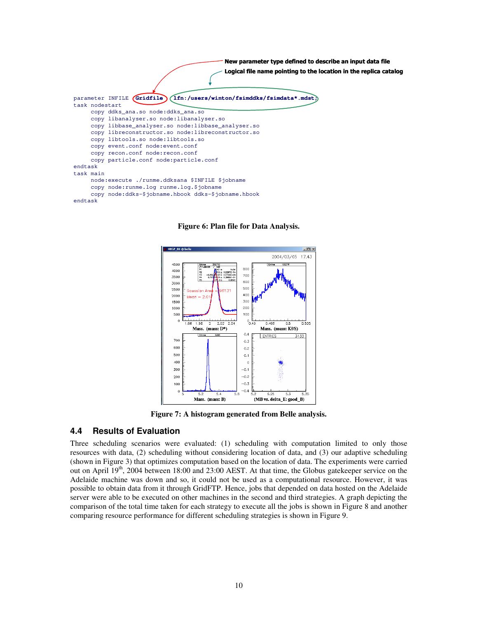



Figure 6: Plan file for Data Analysis.

Figure 7: A histogram generated from Belle analysis.

## 4.4 Results of Evaluation

Three scheduling scenarios were evaluated: (1) scheduling with computation limited to only those resources with data, (2) scheduling without considering location of data, and (3) our adaptive scheduling (shown in Figure 3) that optimizes computation based on the location of data. The experiments were carried out on April  $19<sup>th</sup>$ , 2004 between 18:00 and 23:00 AEST. At that time, the Globus gatekeeper service on the Adelaide machine was down and so, it could not be used as a computational resource. However, it was possible to obtain data from it through GridFTP. Hence, jobs that depended on data hosted on the Adelaide server were able to be executed on other machines in the second and third strategies. A graph depicting the comparison of the total time taken for each strategy to execute all the jobs is shown in Figure 8 and another comparing resource performance for different scheduling strategies is shown in Figure 9.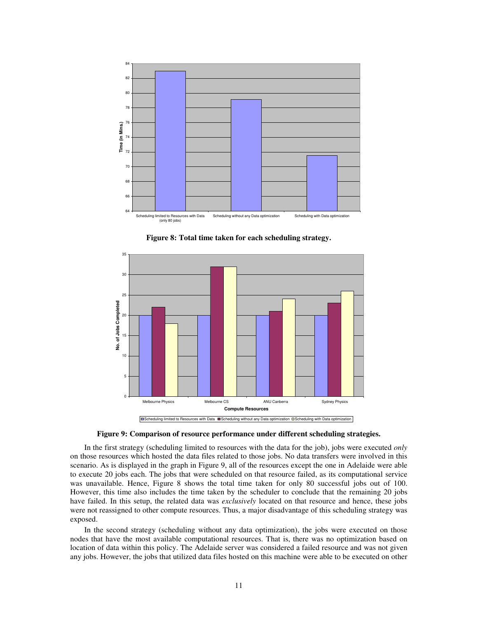

Figure 8: Total time taken for each scheduling strategy.



Figure 9: Comparison of resource performance under different scheduling strategies.

In the first strategy (scheduling limited to resources with the data for the job), jobs were executed *only* on those resources which hosted the data files related to those jobs. No data transfers were involved in this scenario. As is displayed in the graph in Figure 9, all of the resources except the one in Adelaide were able to execute 20 jobs each. The jobs that were scheduled on that resource failed, as its computational service was unavailable. Hence, Figure 8 shows the total time taken for only 80 successful jobs out of 100. However, this time also includes the time taken by the scheduler to conclude that the remaining 20 jobs have failed. In this setup, the related data was exclusively located on that resource and hence, these jobs were not reassigned to other compute resources. Thus, a major disadvantage of this scheduling strategy was exposed.

In the second strategy (scheduling without any data optimization), the jobs were executed on those nodes that have the most available computational resources. That is, there was no optimization based on location of data within this policy. The Adelaide server was considered a failed resource and was not given any jobs. However, the jobs that utilized data files hosted on this machine were able to be executed on other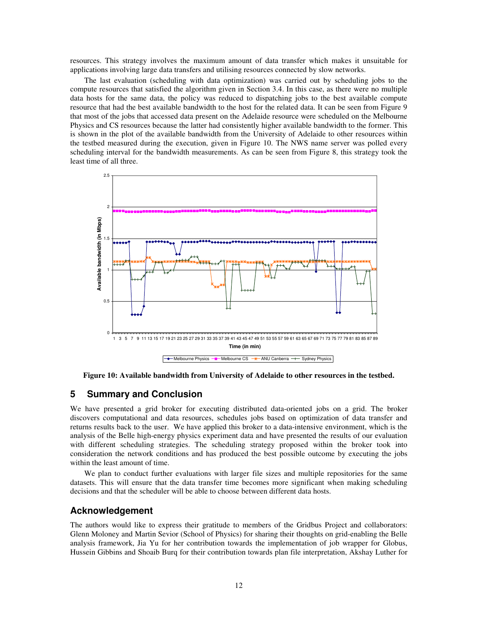resources. This strategy involves the maximum amount of data transfer which makes it unsuitable for applications involving large data transfers and utilising resources connected by slow networks.

The last evaluation (scheduling with data optimization) was carried out by scheduling jobs to the compute resources that satisfied the algorithm given in Section 3.4. In this case, as there were no multiple data hosts for the same data, the policy was reduced to dispatching jobs to the best available compute resource that had the best available bandwidth to the host for the related data. It can be seen from Figure 9 that most of the jobs that accessed data present on the Adelaide resource were scheduled on the Melbourne Physics and CS resources because the latter had consistently higher available bandwidth to the former. This is shown in the plot of the available bandwidth from the University of Adelaide to other resources within the testbed measured during the execution, given in Figure 10. The NWS name server was polled every scheduling interval for the bandwidth measurements. As can be seen from Figure 8, this strategy took the least time of all three.



Figure 10: Available bandwidth from University of Adelaide to other resources in the testbed.

### 5 Summary and Conclusion

We have presented a grid broker for executing distributed data-oriented jobs on a grid. The broker discovers computational and data resources, schedules jobs based on optimization of data transfer and returns results back to the user. We have applied this broker to a data-intensive environment, which is the analysis of the Belle high-energy physics experiment data and have presented the results of our evaluation with different scheduling strategies. The scheduling strategy proposed within the broker took into consideration the network conditions and has produced the best possible outcome by executing the jobs within the least amount of time.

We plan to conduct further evaluations with larger file sizes and multiple repositories for the same datasets. This will ensure that the data transfer time becomes more significant when making scheduling decisions and that the scheduler will be able to choose between different data hosts.

### Acknowledgement

The authors would like to express their gratitude to members of the Gridbus Project and collaborators: Glenn Moloney and Martin Sevior (School of Physics) for sharing their thoughts on grid-enabling the Belle analysis framework, Jia Yu for her contribution towards the implementation of job wrapper for Globus, Hussein Gibbins and Shoaib Burq for their contribution towards plan file interpretation, Akshay Luther for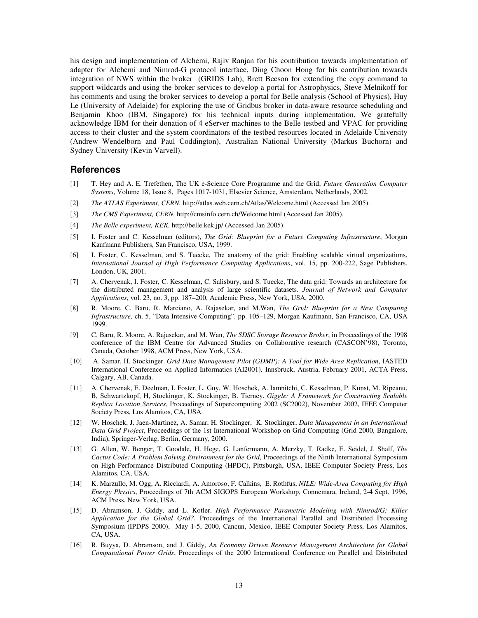his design and implementation of Alchemi, Rajiv Ranjan for his contribution towards implementation of adapter for Alchemi and Nimrod-G protocol interface, Ding Choon Hong for his contribution towards integration of NWS within the broker (GRIDS Lab), Brett Beeson for extending the copy command to support wildcards and using the broker services to develop a portal for Astrophysics, Steve Melnikoff for his comments and using the broker services to develop a portal for Belle analysis (School of Physics), Huy Le (University of Adelaide) for exploring the use of Gridbus broker in data-aware resource scheduling and Benjamin Khoo (IBM, Singapore) for his technical inputs during implementation. We gratefully acknowledge IBM for their donation of 4 eServer machines to the Belle testbed and VPAC for providing access to their cluster and the system coordinators of the testbed resources located in Adelaide University (Andrew Wendelborn and Paul Coddington), Australian National University (Markus Buchorn) and Sydney University (Kevin Varvell).

### **References**

- [1] T. Hey and A. E. Trefethen, The UK e-Science Core Programme and the Grid, Future Generation Computer Systems, Volume 18, Issue 8, Pages 1017-1031, Elsevier Science, Amsterdam, Netherlands, 2002.
- [2] The ATLAS Experiment, CERN. http://atlas.web.cern.ch/Atlas/Welcome.html (Accessed Jan 2005).
- [3] The CMS Experiment, CERN. http://cmsinfo.cern.ch/Welcome.html (Accessed Jan 2005).
- [4] The Belle experiment, KEK. http://belle.kek.jp/ (Accessed Jan 2005).
- [5] I. Foster and C. Kesselman (editors), The Grid: Blueprint for a Future Computing Infrastructure, Morgan Kaufmann Publishers, San Francisco, USA, 1999.
- [6] I. Foster, C. Kesselman, and S. Tuecke, The anatomy of the grid: Enabling scalable virtual organizations, International Journal of High Performance Computing Applications, vol. 15, pp. 200-222, Sage Publishers, London, UK, 2001.
- [7] A. Chervenak, I. Foster, C. Kesselman, C. Salisbury, and S. Tuecke, The data grid: Towards an architecture for the distributed management and analysis of large scientific datasets, Journal of Network and Computer Applications, vol. 23, no. 3, pp. 187–200, Academic Press, New York, USA, 2000.
- [8] R. Moore, C. Baru, R. Marciano, A. Rajasekar, and M.Wan, The Grid: Blueprint for a New Computing Infrastructure, ch. 5, "Data Intensive Computing", pp. 105–129, Morgan Kaufmann, San Francisco, CA, USA 1999.
- [9] C. Baru, R. Moore, A. Rajasekar, and M. Wan, The SDSC Storage Resource Broker, in Proceedings of the 1998 conference of the IBM Centre for Advanced Studies on Collaborative research (CASCON'98), Toronto, Canada, October 1998, ACM Press, New York, USA.
- [10] A. Samar, H. Stockinger. Grid Data Management Pilot (GDMP): A Tool for Wide Area Replication, IASTED International Conference on Applied Informatics (AI2001), Innsbruck, Austria, February 2001, ACTA Press, Calgary, AB, Canada.
- [11] A. Chervenak, E. Deelman, I. Foster, L. Guy, W. Hoschek, A. Iamnitchi, C. Kesselman, P. Kunst, M. Ripeanu, B, Schwartzkopf, H, Stockinger, K. Stockinger, B. Tierney. Giggle: A Framework for Constructing Scalable Replica Location Services, Proceedings of Supercomputing 2002 (SC2002), November 2002, IEEE Computer Society Press, Los Alamitos, CA, USA.
- [12] W. Hoschek, J. Jaen-Martinez, A. Samar, H. Stockinger, K. Stockinger, Data Management in an International Data Grid Project, Proceedings of the 1st International Workshop on Grid Computing (Grid 2000, Bangalore, India), Springer-Verlag, Berlin, Germany, 2000.
- [13] G. Allen, W. Benger, T. Goodale, H. Hege, G. Lanfermann, A. Merzky, T. Radke, E. Seidel, J. Shalf, The Cactus Code: A Problem Solving Environment for the Grid, Proceedings of the Ninth International Symposium on High Performance Distributed Computing (HPDC), Pittsburgh, USA, IEEE Computer Society Press, Los Alamitos, CA, USA.
- [14] K. Marzullo, M. Ogg, A. Ricciardi, A. Amoroso, F. Calkins, E. Rothfus, NILE: Wide-Area Computing for High Energy Physics, Proceedings of 7th ACM SIGOPS European Workshop, Connemara, Ireland, 2-4 Sept. 1996, ACM Press, New York, USA.
- [15] D. Abramson, J. Giddy, and L. Kotler, High Performance Parametric Modeling with Nimrod/G: Killer Application for the Global Grid?, Proceedings of the International Parallel and Distributed Processing Symposium (IPDPS 2000), May 1-5, 2000, Cancun, Mexico, IEEE Computer Society Press, Los Alamitos, CA, USA.
- [16] R. Buyya, D. Abramson, and J. Giddy, An Economy Driven Resource Management Architecture for Global Computational Power Grids, Proceedings of the 2000 International Conference on Parallel and Distributed